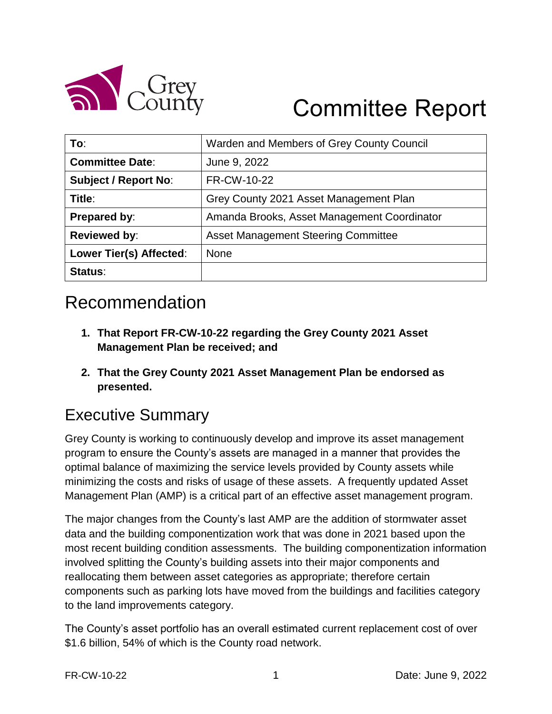

# Committee Report

| To:                         | Warden and Members of Grey County Council   |
|-----------------------------|---------------------------------------------|
| <b>Committee Date:</b>      | June 9, 2022                                |
| <b>Subject / Report No:</b> | FR-CW-10-22                                 |
| Title:                      | Grey County 2021 Asset Management Plan      |
| Prepared by:                | Amanda Brooks, Asset Management Coordinator |
| <b>Reviewed by:</b>         | <b>Asset Management Steering Committee</b>  |
| Lower Tier(s) Affected:     | <b>None</b>                                 |
| Status:                     |                                             |

# Recommendation

- **1. That Report FR-CW-10-22 regarding the Grey County 2021 Asset Management Plan be received; and**
- **2. That the Grey County 2021 Asset Management Plan be endorsed as presented.**

#### Executive Summary

Grey County is working to continuously develop and improve its asset management program to ensure the County's assets are managed in a manner that provides the optimal balance of maximizing the service levels provided by County assets while minimizing the costs and risks of usage of these assets. A frequently updated Asset Management Plan (AMP) is a critical part of an effective asset management program.

The major changes from the County's last AMP are the addition of stormwater asset data and the building componentization work that was done in 2021 based upon the most recent building condition assessments. The building componentization information involved splitting the County's building assets into their major components and reallocating them between asset categories as appropriate; therefore certain components such as parking lots have moved from the buildings and facilities category to the land improvements category.

The County's asset portfolio has an overall estimated current replacement cost of over \$1.6 billion, 54% of which is the County road network.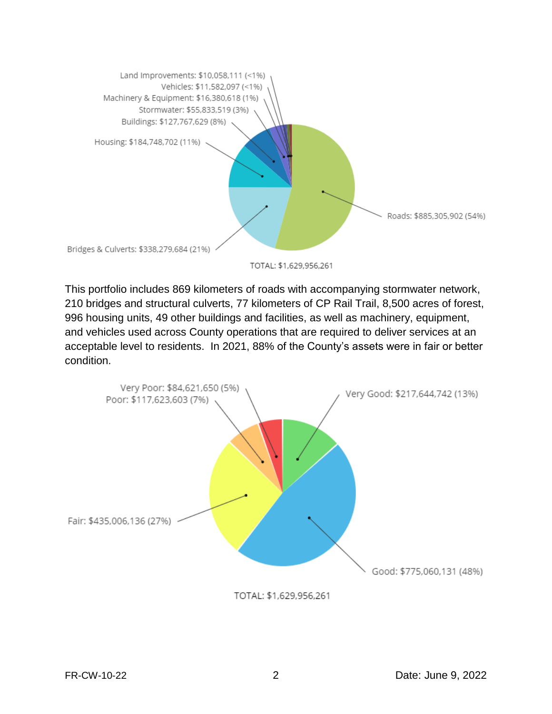

TOTAL: \$1,629,956,261

This portfolio includes 869 kilometers of roads with accompanying stormwater network, 210 bridges and structural culverts, 77 kilometers of CP Rail Trail, 8,500 acres of forest, 996 housing units, 49 other buildings and facilities, as well as machinery, equipment, and vehicles used across County operations that are required to deliver services at an acceptable level to residents. In 2021, 88% of the County's assets were in fair or better condition.



TOTAL: \$1,629,956,261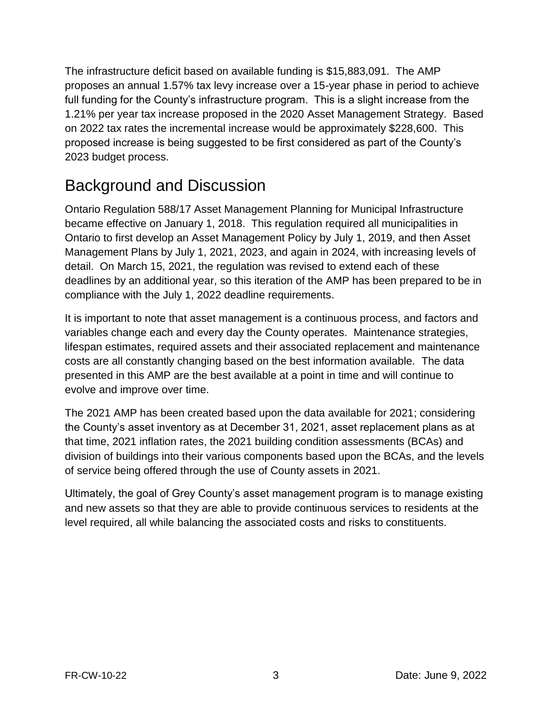The infrastructure deficit based on available funding is \$15,883,091. The AMP proposes an annual 1.57% tax levy increase over a 15-year phase in period to achieve full funding for the County's infrastructure program. This is a slight increase from the 1.21% per year tax increase proposed in the 2020 Asset Management Strategy. Based on 2022 tax rates the incremental increase would be approximately \$228,600. This proposed increase is being suggested to be first considered as part of the County's 2023 budget process.

## Background and Discussion

Ontario Regulation 588/17 Asset Management Planning for Municipal Infrastructure became effective on January 1, 2018. This regulation required all municipalities in Ontario to first develop an Asset Management Policy by July 1, 2019, and then Asset Management Plans by July 1, 2021, 2023, and again in 2024, with increasing levels of detail. On March 15, 2021, the regulation was revised to extend each of these deadlines by an additional year, so this iteration of the AMP has been prepared to be in compliance with the July 1, 2022 deadline requirements.

It is important to note that asset management is a continuous process, and factors and variables change each and every day the County operates. Maintenance strategies, lifespan estimates, required assets and their associated replacement and maintenance costs are all constantly changing based on the best information available. The data presented in this AMP are the best available at a point in time and will continue to evolve and improve over time.

The 2021 AMP has been created based upon the data available for 2021; considering the County's asset inventory as at December 31, 2021, asset replacement plans as at that time, 2021 inflation rates, the 2021 building condition assessments (BCAs) and division of buildings into their various components based upon the BCAs, and the levels of service being offered through the use of County assets in 2021.

Ultimately, the goal of Grey County's asset management program is to manage existing and new assets so that they are able to provide continuous services to residents at the level required, all while balancing the associated costs and risks to constituents.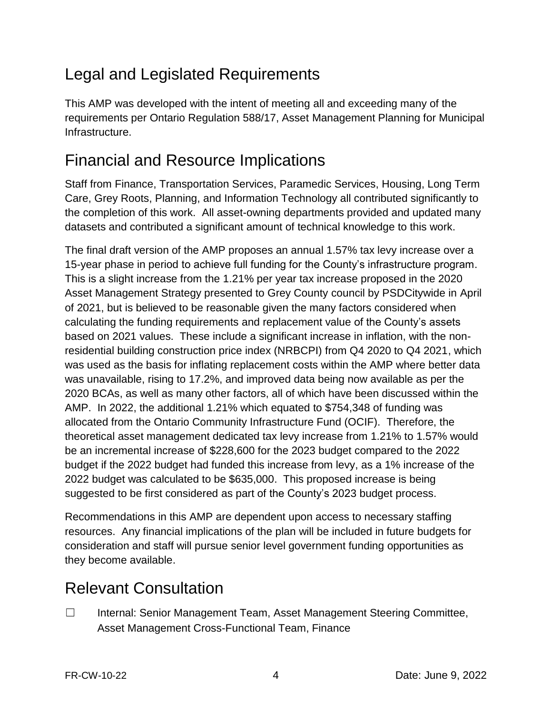# Legal and Legislated Requirements

This AMP was developed with the intent of meeting all and exceeding many of the requirements per Ontario Regulation 588/17, Asset Management Planning for Municipal Infrastructure.

## Financial and Resource Implications

Staff from Finance, Transportation Services, Paramedic Services, Housing, Long Term Care, Grey Roots, Planning, and Information Technology all contributed significantly to the completion of this work. All asset-owning departments provided and updated many datasets and contributed a significant amount of technical knowledge to this work.

The final draft version of the AMP proposes an annual 1.57% tax levy increase over a 15-year phase in period to achieve full funding for the County's infrastructure program. This is a slight increase from the 1.21% per year tax increase proposed in the 2020 Asset Management Strategy presented to Grey County council by PSDCitywide in April of 2021, but is believed to be reasonable given the many factors considered when calculating the funding requirements and replacement value of the County's assets based on 2021 values. These include a significant increase in inflation, with the nonresidential building construction price index (NRBCPI) from Q4 2020 to Q4 2021, which was used as the basis for inflating replacement costs within the AMP where better data was unavailable, rising to 17.2%, and improved data being now available as per the 2020 BCAs, as well as many other factors, all of which have been discussed within the AMP. In 2022, the additional 1.21% which equated to \$754,348 of funding was allocated from the Ontario Community Infrastructure Fund (OCIF). Therefore, the theoretical asset management dedicated tax levy increase from 1.21% to 1.57% would be an incremental increase of \$228,600 for the 2023 budget compared to the 2022 budget if the 2022 budget had funded this increase from levy, as a 1% increase of the 2022 budget was calculated to be \$635,000. This proposed increase is being suggested to be first considered as part of the County's 2023 budget process.

Recommendations in this AMP are dependent upon access to necessary staffing resources. Any financial implications of the plan will be included in future budgets for consideration and staff will pursue senior level government funding opportunities as they become available.

# Relevant Consultation

☐ Internal: Senior Management Team, Asset Management Steering Committee, Asset Management Cross-Functional Team, Finance